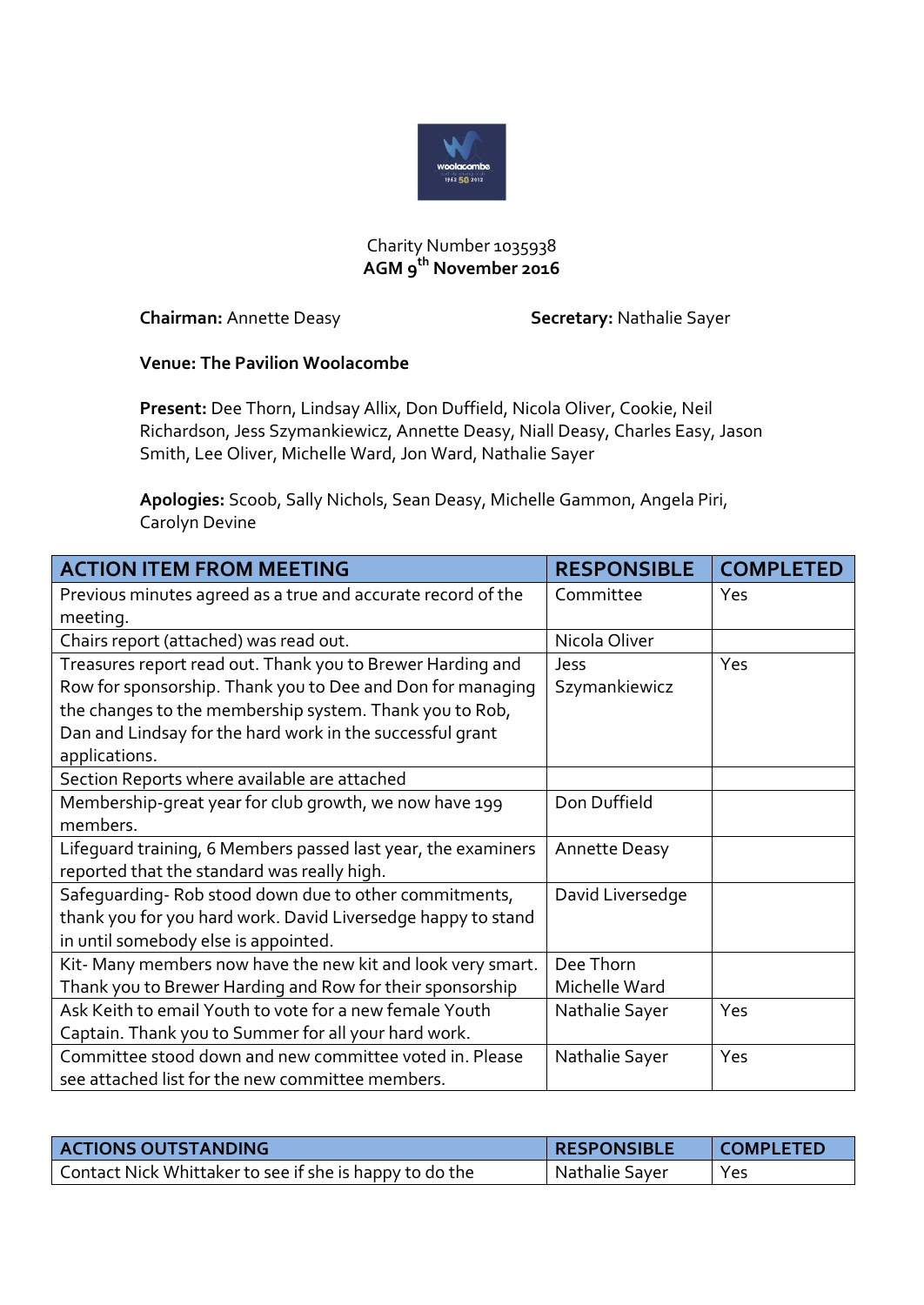

## Charity Number 1035938 **AGM 9th November 2016**

**Chairman:** Annette Deasy **Secretary:** Nathalie Sayer

## **Venue: The Pavilion Woolacombe**

**Present:** Dee Thorn, Lindsay Allix, Don Duffield, Nicola Oliver, Cookie, Neil Richardson, Jess Szymankiewicz, Annette Deasy, Niall Deasy, Charles Easy, Jason Smith, Lee Oliver, Michelle Ward, Jon Ward, Nathalie Sayer

**Apologies:** Scoob, Sally Nichols, Sean Deasy, Michelle Gammon, Angela Piri, Carolyn Devine

| <b>ACTION ITEM FROM MEETING</b>                               | <b>RESPONSIBLE</b>   | <b>COMPLETED</b> |
|---------------------------------------------------------------|----------------------|------------------|
| Previous minutes agreed as a true and accurate record of the  | Committee            | Yes              |
| meeting.                                                      |                      |                  |
| Chairs report (attached) was read out.                        | Nicola Oliver        |                  |
| Treasures report read out. Thank you to Brewer Harding and    | Jess                 | Yes              |
| Row for sponsorship. Thank you to Dee and Don for managing    | Szymankiewicz        |                  |
| the changes to the membership system. Thank you to Rob,       |                      |                  |
| Dan and Lindsay for the hard work in the successful grant     |                      |                  |
| applications.                                                 |                      |                  |
| Section Reports where available are attached                  |                      |                  |
| Membership-great year for club growth, we now have 199        | Don Duffield         |                  |
| members.                                                      |                      |                  |
| Lifequard training, 6 Members passed last year, the examiners | <b>Annette Deasy</b> |                  |
| reported that the standard was really high.                   |                      |                  |
| Safequarding-Rob stood down due to other commitments,         | David Liversedge     |                  |
| thank you for you hard work. David Liversedge happy to stand  |                      |                  |
| in until somebody else is appointed.                          |                      |                  |
| Kit-Many members now have the new kit and look very smart.    | Dee Thorn            |                  |
| Thank you to Brewer Harding and Row for their sponsorship     | Michelle Ward        |                  |
| Ask Keith to email Youth to vote for a new female Youth       | Nathalie Sayer       | Yes              |
| Captain. Thank you to Summer for all your hard work.          |                      |                  |
| Committee stood down and new committee voted in. Please       | Nathalie Sayer       | Yes              |
| see attached list for the new committee members.              |                      |                  |

| <b>ACTIONS OUTSTANDING</b>                              | <b>RESPONSIBLE</b> | <b>COMPLETED</b> |
|---------------------------------------------------------|--------------------|------------------|
| Contact Nick Whittaker to see if she is happy to do the | Nathalie Sayer     | Yes              |